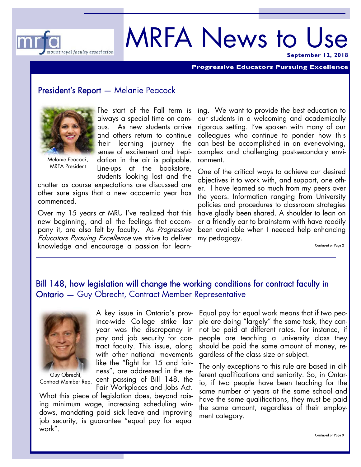

# MRFA News to Use **September 12, 2018**

**Progressive Educators Pursuing Excellence** 

#### President's Report — Melanie Peacock



MRFA President

The start of the Fall term is always a special time on campus. As new students arrive and others return to continue their learning journey the sense of excitement and trepidation in the air is palpable. Line-ups at the bookstore, students looking lost and the

chatter as course expectations are discussed are other sure signs that a new academic year has commenced.

Over my 15 years at MRU I've realized that this new beginning, and all the feelings that accompany it, are also felt by faculty. As Progressive Educators Pursuing Excellence we strive to deliver knowledge and encourage a passion for learn-

ing. We want to provide the best education to our students in a welcoming and academically rigorous setting. I've spoken with many of our colleagues who continue to ponder how this can best be accomplished in an ever-evolving, complex and challenging post-secondary environment.

One of the critical ways to achieve our desired objectives it to work with, and support, one other. I have learned so much from my peers over the years. Information ranging from University policies and procedures to classroom strategies have gladly been shared. A shoulder to lean on or a friendly ear to brainstorm with have readily been available when I needed help enhancing my pedagogy.

### Bill 148, how legislation will change the working conditions for contract faculty in Ontario — Guy Obrecht, Contract Member Representative



Guy Obrecht, Contract Member Rep.

A key issue in Ontario's province-wide College strike last year was the discrepancy in pay and job security for contract faculty. This issue, along with other national movements like the "fight for 15 and fairness", are addressed in the recent passing of Bill 148, the Fair Workplaces and Jobs Act.

What this piece of legislation does, beyond raising minimum wage, increasing scheduling windows, mandating paid sick leave and improving job security, is guarantee "equal pay for equal work".

Equal pay for equal work means that if two people are doing "largely" the same task, they cannot be paid at different rates. For instance, if people are teaching a university class they should be paid the same amount of money, regardless of the class size or subject.

The only exceptions to this rule are based in different qualifications and seniority. So, in Ontario, if two people have been teaching for the same number of years at the same school and have the same qualifications, they must be paid the same amount, regardless of their employment category.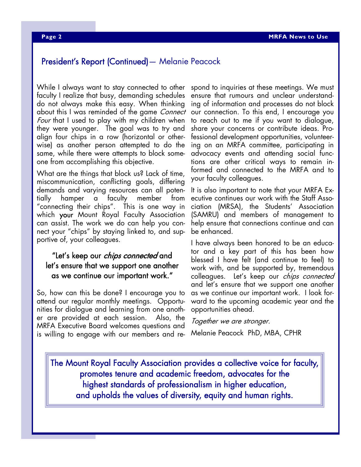### President's Report (Continued)— Melanie Peacock

While I always want to stay connected to other faculty I realize that busy, demanding schedules do not always make this easy. When thinking about this I was reminded of the game *Connect* Four that I used to play with my children when they were younger. The goal was to try and align four chips in a row (horizontal or otherwise) as another person attempted to do the same, while there were attempts to block someone from accomplishing this objective.

What are the things that block us? Lack of time, miscommunication, conflicting goals, differing demands and varying resources can all potentially hamper a faculty member from "connecting their chips". This is one way in which your Mount Royal Faculty Association can assist. The work we do can help you connect your "chips" by staying linked to, and supportive of, your colleagues.

### "Let's keep our chips connected and let's ensure that we support one another as we continue our important work."

So, how can this be done? I encourage you to attend our regular monthly meetings. Opportunities for dialogue and learning from one another are provided at each session. Also, the MRFA Executive Board welcomes questions and is willing to engage with our members and re-

spond to inquiries at these meetings. We must ensure that rumours and unclear understanding of information and processes do not block our connection. To this end, I encourage you to reach out to me if you want to dialogue, share your concerns or contribute ideas. Professional development opportunities, volunteering on an MRFA committee, participating in advocacy events and attending social functions are other critical ways to remain informed and connected to the MRFA and to your faculty colleagues.

It is also important to note that your MRFA Executive continues our work with the Staff Association (MRSA), the Students' Association (SAMRU) and members of management to help ensure that connections continue and can be enhanced.

I have always been honored to be an educator and a key part of this has been how blessed I have felt (and continue to feel) to work with, and be supported by, tremendous colleagues. Let's keep our chips connected and let's ensure that we support one another as we continue our important work. I look forward to the upcoming academic year and the opportunities ahead.

Together we are stronger.

Melanie Peacock PhD, MBA, CPHR

The Mount Royal Faculty Association provides a collective voice for faculty, promotes tenure and academic freedom, advocates for the highest standards of professionalism in higher education, and upholds the values of diversity, equity and human rights.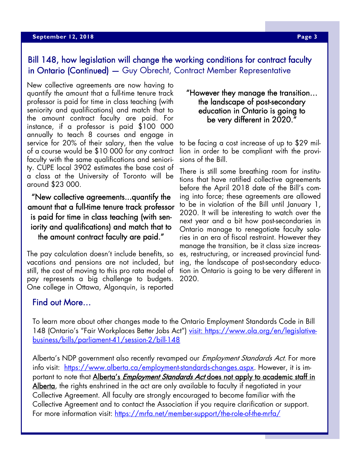## Bill 148, how legislation will change the working conditions for contract faculty in Ontario (Continued) - Guy Obrecht, Contract Member Representative

New collective agreements are now having to quantify the amount that a full-time tenure track professor is paid for time in class teaching (with seniority and qualifications) and match that to the amount contract faculty are paid. For instance, if a professor is paid \$100 000 annually to teach 8 courses and engage in service for 20% of their salary, then the value of a course would be \$10 000 for any contract faculty with the same qualifications and seniority. CUPE local 3902 estimates the base cost of a class at the University of Toronto will be around \$23 000.

"New collective agreements...quantify the amount that a full-time tenure track professor is paid for time in class teaching (with seniority and qualifications) and match that to the amount contract faculty are paid."

The pay calculation doesn't include benefits, so vacations and pensions are not included, but still, the cost of moving to this pro rata model of pay represents a big challenge to budgets. One college in Ottawa, Algonquin, is reported

### "However they manage the transition… the landscape of post-secondary education in Ontario is going to be very different in 2020."

to be facing a cost increase of up to \$29 million in order to be compliant with the provisions of the Bill.

There is still some breathing room for institutions that have ratified collective agreements before the April 2018 date of the Bill's coming into force; these agreements are allowed to be in violation of the Bill until January 1, 2020. It will be interesting to watch over the next year and a bit how post-secondaries in Ontario manage to renegotiate faculty salaries in an era of fiscal restraint. However they manage the transition, be it class size increases, restructuring, or increased provincial funding, the landscape of post-secondary education in Ontario is going to be very different in 2020.

### Find out More…

To learn more about other changes made to the Ontario Employment Standards Code in Bill 148 (Ontario's "Fair Workplaces Better Jobs Act") visit: https://www.ola.org/en/legislativebusiness/bills/parliament-41/session-2/bill-148

Alberta's NDP government also recently revamped our *Employment Standards Act*. For more info visit: https://www.alberta.ca/employment-standards-changes.aspx. However, it is important to note that Alberta's *Employment Standards Act* does not apply to academic staff in Alberta, the rights enshrined in the act are only available to faculty if negotiated in your Collective Agreement. All faculty are strongly encouraged to become familiar with the Collective Agreement and to contact the Association if you require clarification or support. For more information visit: https://mrfa.net/member-support/the-role-of-the-mrfa/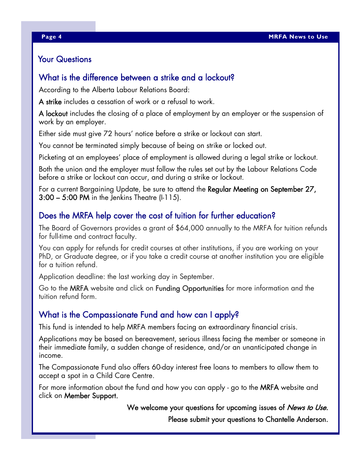### Your Questions

### What is the difference between a strike and a lockout?

According to the Alberta Labour Relations Board:

A strike includes a cessation of work or a refusal to work.

A lockout includes the closing of a place of employment by an employer or the suspension of work by an employer.

Either side must give 72 hours' notice before a strike or lockout can start.

You cannot be terminated simply because of being on strike or locked out.

Picketing at an employees' place of employment is allowed during a legal strike or lockout.

Both the union and the employer must follow the rules set out by the Labour Relations Code before a strike or lockout can occur, and during a strike or lockout.

For a current Bargaining Update, be sure to attend the Regular Meeting on September 27, 3:00 – 5:00 PM in the Jenkins Theatre (I-115).

### Does the MRFA help cover the cost of tuition for further education?

The Board of Governors provides a grant of \$64,000 annually to the MRFA for tuition refunds for full-time and contract faculty.

You can apply for refunds for credit courses at other institutions, if you are working on your PhD, or Graduate degree, or if you take a credit course at another institution you are eligible for a tuition refund.

Application deadline: the last working day in September.

Go to the MRFA website and click on Funding Opportunities for more information and the tuition refund form.

### What is the Compassionate Fund and how can I apply?

This fund is intended to help MRFA members facing an extraordinary financial crisis.

Applications may be based on bereavement, serious illness facing the member or someone in their immediate family, a sudden change of residence, and/or an unanticipated change in income.

The Compassionate Fund also offers 60-day interest free loans to members to allow them to accept a spot in a Child Care Centre.

For more information about the fund and how you can apply - go to the MRFA website and click on Member Support.

> We welcome your questions for upcoming issues of *News to Use*. Please submit your questions to Chantelle Anderson.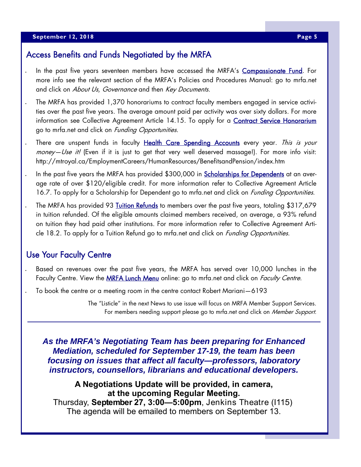### Access Benefits and Funds Negotiated by the MRFA

- In the past five years seventeen members have accessed the MRFA's Compassionate Fund. For more info see the relevant section of the MRFA's Policies and Procedures Manual: go to mrfa.net and click on About Us, Governance and then Key Documents.
- The MRFA has provided 1,370 honorariums to contract faculty members engaged in service activities over the past five years. The average amount paid per activity was over sixty dollars. For more information see Collective Agreement Article 14.15. To apply for a **Contract Service Honorarium** go to mrfa.net and click on *Funding Opportunities*.
- There are unspent funds in faculty Health Care Spending Accounts every year. This is your money—Use it! (Even if it is just to get that very well deserved massage!). For more info visit: http://mtroyal.ca/EmploymentCareers/HumanResources/BenefitsandPension/index.htm
- In the past five years the MRFA has provided \$300,000 in **Scholarships for Dependents** at an average rate of over \$120/eligible credit. For more information refer to Collective Agreement Article 16.7. To apply for a Scholarship for Dependent go to mrfa.net and click on *Funding Opportunities*.
- The MRFA has provided 93 <u>Tuition Refunds</u> to members over the past five years, totaling \$317,679 in tuition refunded. Of the eligible amounts claimed members received, on average, a 93% refund on tuition they had paid other institutions. For more information refer to Collective Agreement Article 18.2. To apply for a Tuition Refund go to mrfa.net and click on *Funding Opportunities*.

#### Use Your Faculty Centre

- Based on revenues over the past five years, the MRFA has served over 10,000 lunches in the Faculty Centre. View the **MRFA Lunch Menu** online: go to mrfa.net and click on *Faculty Centre*.
- To book the centre or a meeting room in the centre contact Robert Mariani—6193

The "Listicle" in the next News to use issue will focus on MRFA Member Support Services. For members needing support please go to mrfa.net and click on Member Support.

*As the MRFA's Negotiating Team has been preparing for Enhanced Mediation, scheduled for September 17-19, the team has been focusing on issues that affect all faculty—professors, laboratory instructors, counsellors, librarians and educational developers.*

**A Negotiations Update will be provided, in camera, at the upcoming Regular Meeting.**  Thursday, **September 27, 3:00—5:00pm**, Jenkins Theatre (I115) The agenda will be emailed to members on September 13.